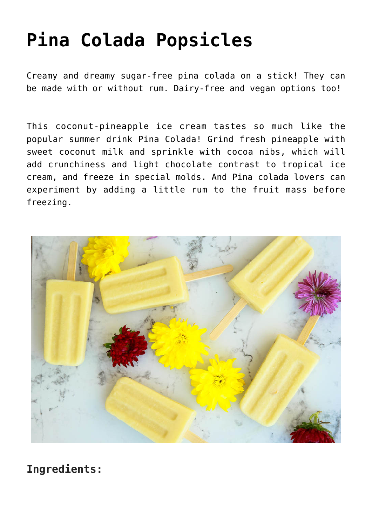## **[Pina Colada Popsicles](https://sproutshealth.com/pina-colada-popsicles/)**

Creamy and dreamy sugar-free pina colada on a stick! They can be made with or without rum. Dairy-free and vegan options too!

This coconut-pineapple ice cream tastes so much like the popular summer drink Pina Colada! Grind fresh pineapple with sweet coconut milk and sprinkle with cocoa nibs, which will add crunchiness and light chocolate contrast to tropical ice cream, and freeze in special molds. And Pina colada lovers can experiment by adding a little rum to the fruit mass before freezing.



**Ingredients:**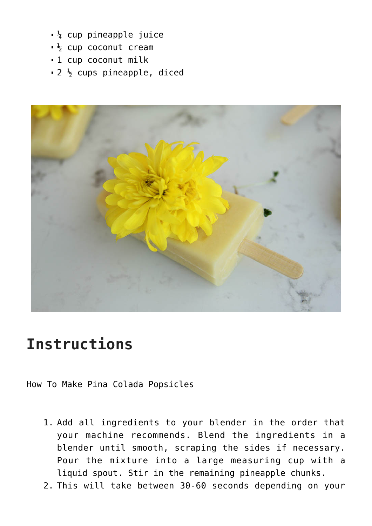- $\frac{1}{4}$  cup pineapple juice
- $\frac{1}{2}$  cup coconut cream
- 1 cup coconut milk
- $\bullet$  2  $\frac{1}{2}$  cups pineapple, diced



## **Instructions**

How To Make Pina Colada Popsicles

- 1. Add all ingredients to your blender in the order that your machine recommends. Blend the ingredients in a blender until smooth, scraping the sides if necessary. Pour the mixture into a large measuring cup with a liquid spout. Stir in the remaining pineapple chunks.
- 2. This will take between 30-60 seconds depending on your